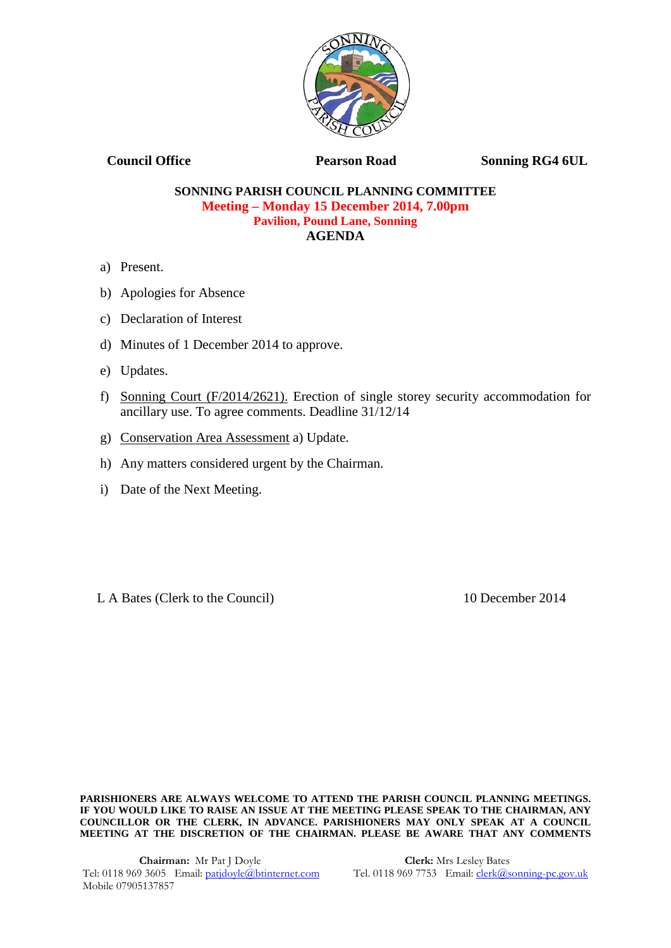

**Council Office Pearson Road Sonning RG4 6UL** 

## **SONNING PARISH COUNCIL PLANNING COMMITTEE Meeting – Monday 15 December 2014, 7.00pm Pavilion, Pound Lane, Sonning AGENDA**

- a) Present.
- b) Apologies for Absence
- c) Declaration of Interest
- d) Minutes of 1 December 2014 to approve.
- e) Updates.
- f) Sonning Court (F/2014/2621). Erection of single storey security accommodation for ancillary use. To agree comments. Deadline 31/12/14
- g) Conservation Area Assessment a) Update.
- h) Any matters considered urgent by the Chairman.
- i) Date of the Next Meeting.

L A Bates (Clerk to the Council) 10 December 2014

**PARISHIONERS ARE ALWAYS WELCOME TO ATTEND THE PARISH COUNCIL PLANNING MEETINGS. IF YOU WOULD LIKE TO RAISE AN ISSUE AT THE MEETING PLEASE SPEAK TO THE CHAIRMAN, ANY COUNCILLOR OR THE CLERK, IN ADVANCE. PARISHIONERS MAY ONLY SPEAK AT A COUNCIL MEETING AT THE DISCRETION OF THE CHAIRMAN. PLEASE BE AWARE THAT ANY COMMENTS**